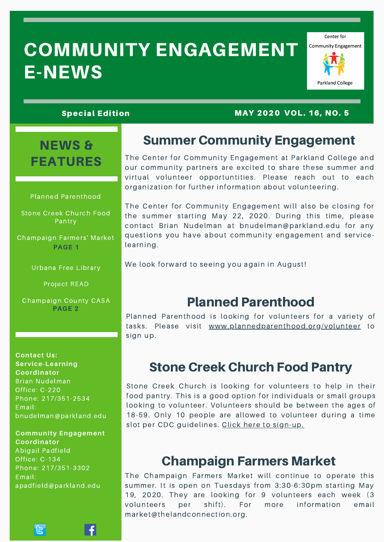# COMMUNITY ENGAGEMENT E-NEWS



#### Special Edition MAY 2020 VOL. 16, NO. 5

## NEWS & FEATURES

#### Planned Parenthood

Stone Creek Church Food **Pantry** 

Champaign Farmers' Market **PAGE 1**

Urbana Free Library

Project READ

Champaign County CASA **PAGE 2**

#### **Contact Us: Service-Learning Coordinator** Brian Nudelman Office: C-220 Phone: 217/351-2534 Email: bnudelman@parkland.edu

#### **Community Engagement Coordinator**

Abigail Padfield Office: C-134 Phone: 217/351-3302 Email: apadfield@parkland.edu

넘

Summer Community Engagement

The Center for Community Engagement at Parkland College and our community partners are excited to share these summer and virtual volunteer opportuntities. Please reach out to each organization for further information about volunteering.

The Center for Community Engagement will also be closing for the summer starting May 22, 2020. During this time, please contact Brian Nudelman at bnudelman@parkland.edu for any questions you have about community engagement and servicelearning.

We look forward to seeing you again in August!

### Planned Parenthood

Planned Parenthood is looking for volunteers for a variety of tasks. Please visit [www.plannedparenthood.org/volunteer](https://www.weareplannedparenthood.org/onlineactions/nN1X22HLyUOqnaf4IEHUCA2) to sign up.

### Stone Creek Church Food Pantry

Stone Creek Church is looking for volunteers to help in their food pantry. This is a good option for individuals or small groups looking to volunteer. Volunteers should be between the ages of 18-59. Only 10 people are allowed to volunteer during a time slot per CDC guidelines. Click here to [sign-up.](https://www.signupgenius.com/go/70a0e4ea4aa2cabfd0-food)

### Champaign Farmers Market

The Champaign Farmers Market will continue to operate this summer. It is open on Tuesdays from 3:30-6:30pm starting May 19, 2020. They are looking for 9 volunteers each week (3 volunteers per shift). For more information email market@thelandconnection.org.